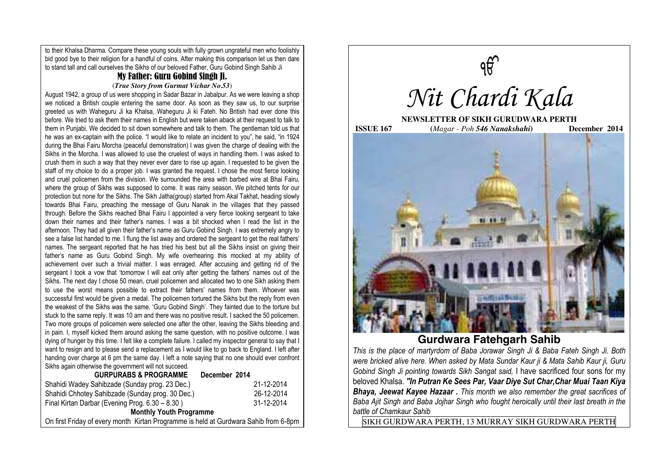to their Khalsa Dharma. Compare these young souls with fully grown ungrateful men who foolishly bid good bye to their religion for a handful of coins. After making this comparison let us then dare to stand tall and call ourselves the Sikhs of our beloved Father, Guru Gobind Singh Sahib Ji

# My Father: Guru Gobind Singh Ji.

### (*True Story from Gurmat Vichar No.53*)

August 1942, a group of us were shopping in Sadar Bazar in Jabalpur. As we were leaving a shop we noticed a British couple entering the same door. As soon as they saw us, to our surprise greeted us with Waheguru Ji ka Khalsa, Waheguru Ji ki Fateh. No British had ever done this before. We tried to ask them their names in English but were taken aback at their request to talk to them in Punjabi. We decided to sit down somewhere and talk to them. The gentleman told us that he was an ex-captain with the police. "I would like to relate an incident to you", he said, "in 1924 during the Bhai Fairu Morcha (peaceful demonstration) I was given the charge of dealing with the Sikhs in the Morcha. I was allowed to use the cruelest of ways in handling them. I was asked to crush them in such a way that they never ever dare to rise up again. I requested to be given the staff of my choice to do a proper job. I was granted the request. I chose the most fierce looking and cruel policemen from the division. We surrounded the area with barbed wire at Bhai Fairu, where the group of Sikhs was supposed to come. It was rainy season. We pitched tents for our protection but none for the Sikhs. The Sikh Jatha(group) started from Akal Takhat, heading slowly towards Bhai Fairu, preaching the message of Guru Nanak in the villages that they passed through. Before the Sikhs reached Bhai Fairu I appointed a very fierce looking sergeant to take down their names and their father's names. I was a bit shocked when I read the list in the afternoon. They had all given their father's name as Guru Gobind Singh. I was extremely angry to see a false list handed to me. I flung the list away and ordered the sergeant to get the real fathers' names. The sergeant reported that he has tried his best but all the Sikhs insist on giving their father's name as Guru Gobind Singh. My wife overhearing this mocked at my ability of achievement over such a trivial matter. I was enraged. After accusing and getting rid of the sergeant I took a vow that 'tomorrow I will eat only after getting the fathers' names out of the Sikhs. The next day I chose 50 mean, cruel policemen and allocated two to one Sikh asking them to use the worst means possible to extract their fathers' names from them. Whoever was successful first would be given a medal. The policemen tortured the Sikhs but the reply from even the weakest of the Sikhs was the same, 'Guru Gobind Singh'. They fainted due to the torture but stuck to the same reply. It was 10 am and there was no positive result. I sacked the 50 policemen. Two more groups of policemen were selected one after the other, leaving the Sikhs bleeding and in pain. I, myself kicked them around asking the same question, with no positive outcome. I was dying of hunger by this time. I felt like a complete failure. I called my inspector general to say that I want to resign and to please send a replacement as I would like to go back to England. I left after handing over charge at 6 pm the same day. I left a note saying that no one should ever confront Sikhs again otherwise the government will not succeed.

| <b>GURPURABS &amp; PROGRAMME</b>                                                     | December 2014 |
|--------------------------------------------------------------------------------------|---------------|
| Shahidi Wadey Sahibzade (Sunday prog. 23 Dec.)                                       | 21-12-2014    |
| Shahidi Chhotey Sahibzade (Sunday prog. 30 Dec.)                                     | 26-12-2014    |
| Final Kirtan Darbar (Evening Prog. 6.30 - 8.30)                                      | 31-12-2014    |
| <b>Monthly Youth Programme</b>                                                       |               |
| On first Friday of every month Kirtan Programme is held at Gurdwara Sahib from 6-8pm |               |



**Gurdwara Fatehgarh Sahib** 

*This is the place of martyrdom of Baba Jorawar Singh Ji & Baba Fateh Singh Ji. Both were bricked alive here. When asked by Mata Sundar Kaur ji & Mata Sahib Kaur ji, Guru Gobind Singh Ji pointing towards Sikh Sangat said,* I have sacrificed four sons for my beloved Khalsa. *"In Putran Ke Sees Par, Vaar Diye Sut Char,Char Muai Taan Kiya Bhaya, Jeewat Kayee Hazaar . This month we also remember the great sacrifices of Baba Ajit Singh and Baba Jojhar Singh who fought heroically until their last breath in the battle of Chamkaur Sahib* 

SIKH GURDWARA PERTH, 13 MURRAY SIKH GURDWARA PERTH